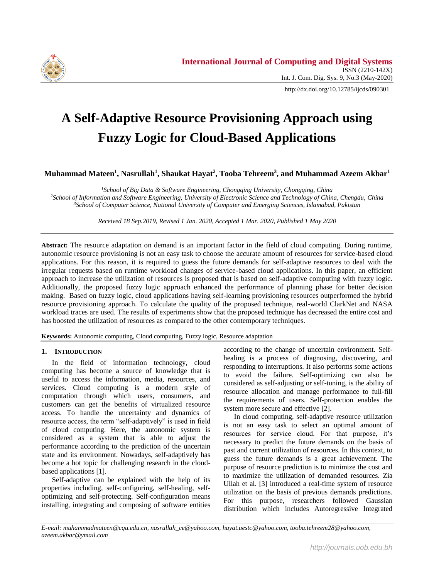

http://dx.doi.org/10.12785/ijcds/090301

# **A Self-Adaptive Resource Provisioning Approach using Fuzzy Logic for Cloud-Based Applications**

**Muhammad Mateen<sup>1</sup> , Nasrullah<sup>1</sup> , Shaukat Hayat<sup>2</sup> , Tooba Tehreem<sup>3</sup> , and Muhammad Azeem Akbar<sup>1</sup>**

*<sup>1</sup>School of Big Data & Software Engineering, Chongqing University, Chongqing, China <sup>2</sup>School of Information and Software Engineering, University of Electronic Science and Technology of China, Chengdu, China <sup>3</sup>School of Computer Science, National University of Computer and Emerging Sciences, Islamabad, Pakistan*

*Received 18 Sep.2019, Revised 1 Jan. 2020, Accepted 1 Mar. 2020, Published 1 May 2020*

**Abstract:** The resource adaptation on demand is an important factor in the field of cloud computing. During runtime, autonomic resource provisioning is not an easy task to choose the accurate amount of resources for service-based cloud applications. For this reason, it is required to guess the future demands for self-adaptive resources to deal with the irregular requests based on runtime workload changes of service-based cloud applications. In this paper, an efficient approach to increase the utilization of resources is proposed that is based on self-adaptive computing with fuzzy logic. Additionally, the proposed fuzzy logic approach enhanced the performance of planning phase for better decision making. Based on fuzzy logic, cloud applications having self-learning provisioning resources outperformed the hybrid resource provisioning approach. To calculate the quality of the proposed technique, real-world ClarkNet and NASA workload traces are used. The results of experiments show that the proposed technique has decreased the entire cost and has boosted the utilization of resources as compared to the other contemporary techniques.

**Keywords:** Autonomic computing, Cloud computing, Fuzzy logic, Resource adaptation

### **1. INTRODUCTION**

In the field of information technology, cloud computing has become a source of knowledge that is useful to access the information, media, resources, and services. Cloud computing is a modern style of computation through which users, consumers, and customers can get the benefits of virtualized resource access. To handle the uncertainty and dynamics of resource access, the term "self-adaptively" is used in field of cloud computing. Here, the autonomic system is considered as a system that is able to adjust the performance according to the prediction of the uncertain state and its environment. Nowadays, self-adaptively has become a hot topic for challenging research in the cloudbased applications [\[1\]](#page-6-0).

Self-adaptive can be explained with the help of its properties including, self-configuring, self-healing, selfoptimizing and self-protecting. Self-configuration means installing, integrating and composing of software entities according to the change of uncertain environment. Selfhealing is a process of diagnosing, discovering, and responding to interruptions. It also performs some actions to avoid the failure. Self-optimizing can also be considered as self-adjusting or self-tuning, is the ability of resource allocation and manage performance to full-fill the requirements of users. Self-protection enables the system more secure and effective [\[2\]](#page-6-1).

In cloud computing, self-adaptive resource utilization is not an easy task to select an optimal amount of resources for service cloud. For that purpose, it's necessary to predict the future demands on the basis of past and current utilization of resources. In this context, to guess the future demands is a great achievement. The purpose of resource prediction is to minimize the cost and to maximize the utilization of demanded resources. Zia Ullah et al. [\[3\]](#page-6-2) introduced a real-time system of resource utilization on the basis of previous demands predictions. For this purpose, researchers followed Gaussian distribution which includes Autoregressive Integrated

*E-mail: muhammadmateen@cqu.edu.cn, nasrullah\_ce@yahoo.com, hayat.uestc@yahoo.com, tooba.tehreem28@yahoo.com, azeem.akbar@ymail.com*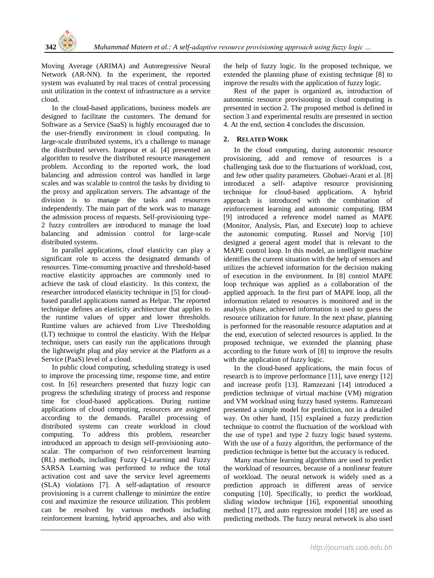Moving Average (ARIMA) and Autoregressive Neural Network (AR-NN). In the experiment, the reported system was evaluated by real traces of central processing unit utilization in the context of infrastructure as a service cloud.

In the cloud-based applications, business models are designed to facilitate the customers. The demand for Software as a Service (SaaS) is highly encouraged due to the user-friendly environment in cloud computing. In large-scale distributed systems, it's a challenge to manage the distributed servers. Iranpour et al. [\[4\]](#page-6-3) presented an algorithm to resolve the distributed resource management problem. According to the reported work, the load balancing and admission control was handled in large scales and was scalable to control the tasks by dividing to the proxy and application servers. The advantage of the division is to manage the tasks and resources independently. The main part of the work was to manage the admission process of requests. Self-provisioning type-2 fuzzy controllers are introduced to manage the load balancing and admission control for large-scale distributed systems.

In parallel applications, cloud elasticity can play a significant role to access the designated demands of resources. Time-consuming proactive and threshold-based reactive elasticity approaches are commonly used to achieve the task of cloud elasticity. In this context, the researcher introduced elasticity technique in [\[5\]](#page-6-4) for cloudbased parallel applications named as Helpar. The reported technique defines an elasticity architecture that applies to the runtime values of upper and lower thresholds. Runtime values are achieved from Live Thresholding (LT) technique to control the elasticity. With the Helpar technique, users can easily run the applications through the lightweight plug and play service at the Platform as a Service (PaaS) level of a cloud.

In public cloud computing, scheduling strategy is used to improve the processing time, response time, and entire cost. In [\[6\]](#page-6-5) researchers presented that fuzzy logic can progress the scheduling strategy of process and response time for cloud-based applications. During runtime applications of cloud computing, resources are assigned according to the demands. Parallel processing of distributed systems can create workload in cloud computing. To address this problem, researcher introduced an approach to design self-provisioning autoscalar. The comparison of two reinforcement learning (RL) methods, including Fuzzy Q-Learning and Fuzzy SARSA Learning was performed to reduce the total activation cost and save the service level agreements (SLA) violations [\[7\]](#page-6-6). A self-adaptation of resource provisioning is a current challenge to minimize the entire cost and maximize the resource utilization. This problem can be resolved by various methods including reinforcement learning, hybrid approaches, and also with the help of fuzzy logic. In the proposed technique, we extended the planning phase of existing technique [\[8\]](#page-6-7) to improve the results with the application of fuzzy logic.

Rest of the paper is organized as, introduction of autonomic resource provisioning in cloud computing is presented in section 2. The proposed method is defined in section 3 and experimental results are presented in section 4. At the end, section 4 concludes the discussion.

## **2. RELATED WORK**

In the cloud computing, during autonomic resource provisioning, add and remove of resources is a challenging task due to the fluctuations of workload, cost, and few other quality parameters. Ghobaei-Arani et al. [\[8\]](#page-6-7) introduced a self- adaptive resource provisioning technique for cloud-based applications. A hybrid approach is introduced with the combination of reinforcement learning and autonomic computing. IBM [\[9\]](#page-6-8) introduced a reference model named as MAPE (Monitor, Analysis, Plan, and Execute) loop to achieve the autonomic computing. Russel and Norvig [\[10\]](#page-6-9) designed a general agent model that is relevant to the MAPE control loop. In this model, an intelligent machine identifies the current situation with the help of sensors and utilizes the achieved information for the decision making of execution in the environment. In [\[8\]](#page-6-7) control MAPE loop technique was applied as a collaboration of the applied approach. In the first part of MAPE loop, all the information related to resources is monitored and in the analysis phase, achieved information is used to guess the resource utilization for future. In the next phase, planning is performed for the reasonable resource adaptation and at the end, execution of selected resources is applied. In the proposed technique, we extended the planning phase according to the future work of [\[8\]](#page-6-7) to improve the results with the application of fuzzy logic.

In the cloud-based applications, the main focus of research is to improve performance [\[11\]](#page-6-10), save energy [\[12\]](#page-6-11) and increase profit [\[13\]](#page-6-12). Ramzezani [\[14\]](#page-6-13) introduced a prediction technique of virtual machine (VM) migration and VM workload using fuzzy based systems. Ramzezani presented a simple model for prediction, not in a detailed way. On other hand, [\[15\]](#page-6-14) explained a fuzzy prediction technique to control the fluctuation of the workload with the use of type1 and type 2 fuzzy logic based systems. With the use of a fuzzy algorithm, the performance of the prediction technique is better but the accuracy is reduced.

Many machine learning algorithms are used to predict the workload of resources, because of a nonlinear feature of workload. The neural network is widely used as a prediction approach in different areas of service computing [\[10\]](#page-6-9). Specifically, to predict the workload, sliding window technique [\[16\]](#page-6-15), exponential smoothing method [\[17\]](#page-6-16), and auto regression model [\[18\]](#page-6-17) are used as predicting methods. The fuzzy neural network is also used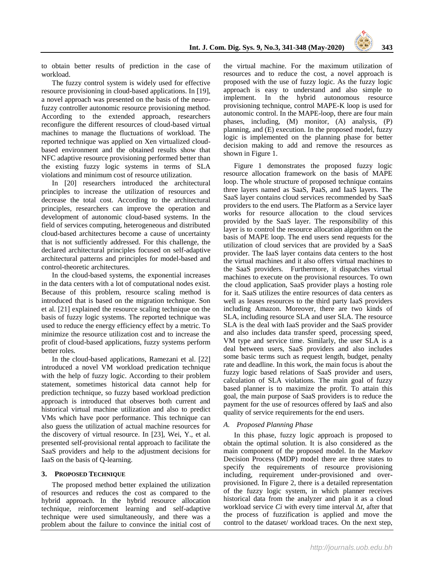to obtain better results of prediction in the case of workload.

The fuzzy control system is widely used for effective resource provisioning in cloud-based applications. In [\[19\]](#page-6-18), a novel approach was presented on the basis of the neurofuzzy controller autonomic resource provisioning method. According to the extended approach, researchers reconfigure the different resources of cloud-based virtual machines to manage the fluctuations of workload. The reported technique was applied on Xen virtualized cloudbased environment and the obtained results show that NFC adaptive resource provisioning performed better than the existing fuzzy logic systems in terms of SLA violations and minimum cost of resource utilization.

In [\[20\]](#page-6-19) researchers introduced the architectural principles to increase the utilization of resources and decrease the total cost. According to the architectural principles, researchers can improve the operation and development of autonomic cloud-based systems. In the field of services computing, heterogeneous and distributed cloud-based architectures become a cause of uncertainty that is not sufficiently addressed. For this challenge, the declared architectural principles focused on self-adaptive architectural patterns and principles for model-based and control-theoretic architectures.

In the cloud-based systems, the exponential increases in the data centers with a lot of computational nodes exist. Because of this problem, resource scaling method is introduced that is based on the migration technique. Son et al. [\[21\]](#page-6-20) explained the resource scaling technique on the basis of fuzzy logic systems. The reported technique was used to reduce the energy efficiency effect by a metric. To minimize the resource utilization cost and to increase the profit of cloud-based applications, fuzzy systems perform better roles.

In the cloud-based applications, Ramezani et al. [\[22\]](#page-6-21) introduced a novel VM workload predication technique with the help of fuzzy logic. According to their problem statement, sometimes historical data cannot help for prediction technique, so fuzzy based workload prediction approach is introduced that observes both current and historical virtual machine utilization and also to predict VMs which have poor performance. This technique can also guess the utilization of actual machine resources for the discovery of virtual resource. In [\[23\]](#page-6-22), Wei, Y., et al. presented self-provisional rental approach to facilitate the SaaS providers and help to the adjustment decisions for IaaS on the basis of Q-learning.

#### **3. PROPOSED TECHNIQUE**

The proposed method better explained the utilization of resources and reduces the cost as compared to the hybrid approach. In the hybrid resource allocation technique, reinforcement learning and self-adaptive technique were used simultaneously, and there was a problem about the failure to convince the initial cost of

the virtual machine. For the maximum utilization of resources and to reduce the cost, a novel approach is proposed with the use of fuzzy logic. As the fuzzy logic approach is easy to understand and also simple to implement. In the hybrid autonomous resource provisioning technique, control MAPE-K loop is used for autonomic control. In the MAPE-loop, there are four main phases, including, (M) monitor, (A) analysis, (P) planning, and (E) execution. In the proposed model, fuzzy logic is implemented on the planning phase for better decision making to add and remove the resources as shown in Figure 1.

Figure 1 demonstrates the proposed fuzzy logic resource allocation framework on the basis of MAPE loop. The whole structure of proposed technique contains three layers named as SaaS, PaaS, and IaaS layers. The SaaS layer contains cloud services recommended by SaaS providers to the end users. The Platform as a Service layer works for resource allocation to the cloud services provided by the SaaS layer. The responsibility of this layer is to control the resource allocation algorithm on the basis of MAPE loop. The end users send requests for the utilization of cloud services that are provided by a SaaS provider. The IaaS layer contains data centers to the host the virtual machines and it also offers virtual machines to the SaaS providers. Furthermore, it dispatches virtual machines to execute on the provisional resources. To own the cloud application, SaaS provider plays a hosting role for it. SaaS utilizes the entire resources of data centers as well as leases resources to the third party IaaS providers including Amazon. Moreover, there are two kinds of SLA, including resource SLA and user SLA. The resource SLA is the deal with IaaS provider and the SaaS provider and also includes data transfer speed, processing speed, VM type and service time. Similarly, the user SLA is a deal between users, SaaS providers and also includes some basic terms such as request length, budget, penalty rate and deadline. In this work, the main focus is about the fuzzy logic based relations of SaaS provider and users, calculation of SLA violations. The main goal of fuzzy based planner is to maximize the profit. To attain this goal, the main purpose of SaaS providers is to reduce the payment for the use of resources offered by IaaS and also quality of service requirements for the end users.

### *A. Proposed Planning Phase*

In this phase, fuzzy logic approach is proposed to obtain the optimal solution. It is also considered as the main component of the proposed model. In the Markov Decision Process (MDP) model there are three states to specify the requirements of resource provisioning including, requirement under-provisioned and overprovisioned. In Figure 2, there is a detailed representation of the fuzzy logic system, in which planner receives historical data from the analyzer and plan it as a cloud workload service *Ci* with every time interval *∆t*, after that the process of fuzzification is applied and move the control to the dataset/ workload traces. On the next step,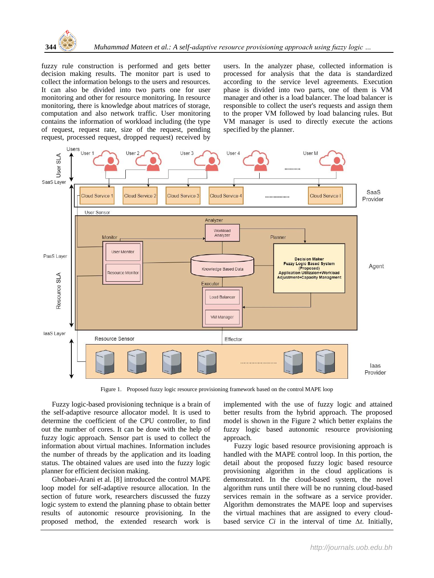

fuzzy rule construction is performed and gets better decision making results. The monitor part is used to collect the information belongs to the users and resources. It can also be divided into two parts one for user monitoring and other for resource monitoring. In resource monitoring, there is knowledge about matrices of storage, computation and also network traffic. User monitoring contains the information of workload including (the type of request, request rate, size of the request, pending request, processed request, dropped request) received by users. In the analyzer phase, collected information is processed for analysis that the data is standardized according to the service level agreements. Execution phase is divided into two parts, one of them is VM manager and other is a load balancer. The load balancer is responsible to collect the user's requests and assign them to the proper VM followed by load balancing rules. But VM manager is used to directly execute the actions specified by the planner.



Figure 1. Proposed fuzzy logic resource provisioning framework based on the control MAPE loop

Fuzzy logic-based provisioning technique is a brain of the self-adaptive resource allocator model. It is used to determine the coefficient of the CPU controller, to find out the number of cores. It can be done with the help of fuzzy logic approach. Sensor part is used to collect the information about virtual machines. Information includes the number of threads by the application and its loading status. The obtained values are used into the fuzzy logic planner for efficient decision making.

Ghobaei-Arani et al. [\[8\]](#page-6-7) introduced the control MAPE loop model for self-adaptive resource allocation. In the section of future work, researchers discussed the fuzzy logic system to extend the planning phase to obtain better results of autonomic resource provisioning. In the proposed method, the extended research work is

implemented with the use of fuzzy logic and attained better results from the hybrid approach. The proposed model is shown in the Figure 2 which better explains the fuzzy logic based autonomic resource provisioning approach.

Fuzzy logic based resource provisioning approach is handled with the MAPE control loop. In this portion, the detail about the proposed fuzzy logic based resource provisioning algorithm in the cloud applications is demonstrated. In the cloud-based system, the novel algorithm runs until there will be no running cloud-based services remain in the software as a service provider. Algorithm demonstrates the MAPE loop and supervises the virtual machines that are assigned to every cloudbased service *Ci* in the interval of time *∆t*. Initially,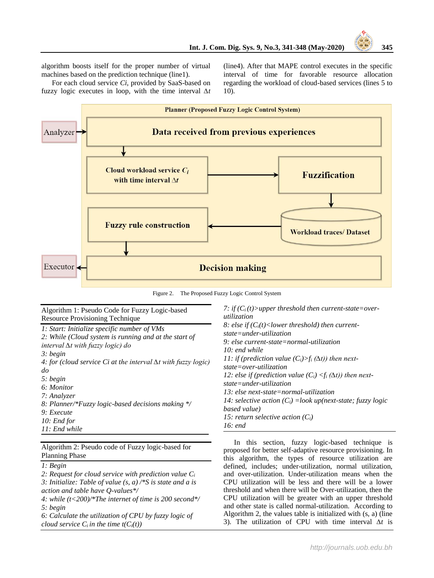algorithm boosts itself for the proper number of virtual machines based on the prediction technique (line1).

For each cloud service *Ci,* provided by SaaS-based on fuzzy logic executes in loop, with the time interval *∆t*

(line4). After that MAPE control executes in the specific interval of time for favorable resource allocation regarding the workload of cloud-based services (lines 5 to 10).



Figure 2. The Proposed Fuzzy Logic Control System

Algorithm 1: Pseudo Code for Fuzzy Logic-based Resource Provisioning Technique *1: Start: Initialize specific number of VMs 2: While (Cloud system is running and at the start of interval ∆t with fuzzy logic) do 3: begin 4: for (cloud service Ci at the interval ∆t with fuzzy logic) do 5: begin 6: Monitor 7: Analyzer 8: Planner/\*Fuzzy logic-based decisions making \*/ 9: Execute 10: End for 11: End while* 7: if  $(C_i(t))$  upper threshold then current-state = over*utilization 8: else if (Ci(t)<lower threshold) then currentstate=under-utilization 9: else current-state=normal-utilization 10: end while 11: if (prediction value*  $(C_i) > f_i (\Delta t)$ *) then nextstate=over-utilization 12: else if (prediction value*  $(C_i) \leq f_i(\Delta t)$ *) then nextstate=under-utilization 13: else next-state=normal-utilization 14: selective action (Ci) =look up(next-state; fuzzy logic based value) 15: return selective action (Ci) 16: end*

Algorithm 2: Pseudo code of Fuzzy logic-based for Planning Phase

*1: Begin* 

*2: Request for cloud service with prediction value C<sup>i</sup> 3: Initialize: Table of value (s, a) /\*S is state and a is action and table have Q-values\*/*

*4: while (t<200)/\*The internet of time is 200 second\*/ 5: begin*

*6: Calculate the utilization of CPU by fuzzy logic of cloud service*  $C_i$  *in the time t*( $C_i(t)$ )

In this section, fuzzy logic-based technique is proposed for better self-adaptive resource provisioning. In this algorithm, the types of resource utilization are defined, includes; under-utilization, normal utilization, and over-utilization. Under-utilization means when the CPU utilization will be less and there will be a lower threshold and when there will be Over-utilization, then the CPU utilization will be greater with an upper threshold and other state is called normal-utilization. According to Algorithm 2, the values table is initialized with (s, a) (line 3). The utilization of CPU with time interval *∆t* is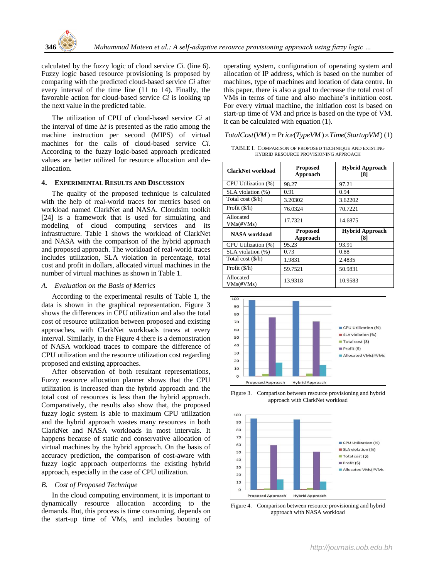

calculated by the fuzzy logic of cloud service *Ci.* (line 6). Fuzzy logic based resource provisioning is proposed by comparing with the predicted cloud-based service *Ci* after every interval of the time line (11 to 14). Finally, the favorable action for cloud-based service *Ci* is looking up the next value in the predicted table.

The utilization of CPU of cloud-based service *Ci* at the interval of time *∆t* is presented as the ratio among the machine instruction per second (MIPS) of virtual machines for the calls of cloud-based service *Ci.*  According to the fuzzy logic-based approach predicated values are better utilized for resource allocation and deallocation.

#### **4. EXPERIMENTAL RESULTS AND DISCUSSION**

The quality of the proposed technique is calculated with the help of real-world traces for metrics based on workload named ClarkNet and NASA. Cloudsim toolkit [\[24\]](#page-6-23) is a framework that is used for simulating and modeling of cloud computing services and its infrastructure. Table 1 shows the workload of ClarkNet and NASA with the comparison of the hybrid approach and proposed approach. The workload of real-world traces includes utilization, SLA violation in percentage, total cost and profit in dollars, allocated virtual machines in the number of virtual machines as shown in Table 1.

#### *A. Evaluation on the Basis of Metrics*

According to the experimental results of Table 1, the data is shown in the graphical representation. Figure 3 shows the differences in CPU utilization and also the total cost of resource utilization between proposed and existing approaches, with ClarkNet workloads traces at every interval. Similarly, in the Figure 4 there is a demonstration of NASA workload traces to compare the difference of CPU utilization and the resource utilization cost regarding proposed and existing approaches.

After observation of both resultant representations, Fuzzy resource allocation planner shows that the CPU utilization is increased than the hybrid approach and the total cost of resources is less than the hybrid approach. Comparatively, the results also show that, the proposed fuzzy logic system is able to maximum CPU utilization and the hybrid approach wastes many resources in both ClarkNet and NASA workloads in most intervals. It happens because of static and conservative allocation of virtual machines by the hybrid approach. On the basis of accuracy prediction, the comparison of cost-aware with fuzzy logic approach outperforms the existing hybrid approach, especially in the case of CPU utilization.

### *B. Cost of Proposed Technique*

In the cloud computing environment, it is important to dynamically resource allocation according to the demands. But, this process is time consuming, depends on the start-up time of VMs, and includes booting of operating system, configuration of operating system and allocation of IP address, which is based on the number of machines, type of machines and location of data centre. In this paper, there is also a goal to decrease the total cost of VMs in terms of time and also machine's initiation cost. For every virtual machine, the initiation cost is based on start-up time of VM and price is based on the type of VM. It can be calculated with equation (1).

# It can be calculated with equation (1).<br> *TotalCost*(*VM* ) = Pr *ice*(*TypeVM* ) × *Time*(*StartupVM*) (1)

TABLE I. COMPARISON OF PROPOSED TECHNIQUE AND EXISTING HYBRID RESOURCE PROVISIONING APPROACH

| ClarkNet workload          | <b>Proposed</b><br>Approach | <b>Hybrid Approach</b><br>[8] |
|----------------------------|-----------------------------|-------------------------------|
| CPU Utilization (%)        | 98.27                       | 97.21                         |
| SLA violation (%)          | 0.91                        | 0.94                          |
| Total cost $(\frac{6}{h})$ | 3.20302                     | 3.62202                       |
| Profit $(\frac{1}{2})$     | 76.0324                     | 70.7221                       |
| Allocated<br>$VMs$ (#VMs)  | 17.7321                     | 14.6875                       |
| NASA workload              | <b>Proposed</b><br>Approach | <b>Hybrid Approach</b><br>[8] |
| CPU Utilization (%)        | 95.23                       | 93.91                         |
| SLA violation (%)          | 0.73                        | 0.88                          |
| Total cost $(\frac{6}{h})$ | 1.9831                      | 2.4835                        |
| Profit (\$/h)              | 59.7521                     | 50.9831                       |
| Allocated<br>VMs(#VMs)     | 13.9318                     | 10.9583                       |



Figure 3. Comparison between resource provisioning and hybrid approach with ClarkNet workload



Figure 4. Comparison between resource provisioning and hybrid approach with NASA workload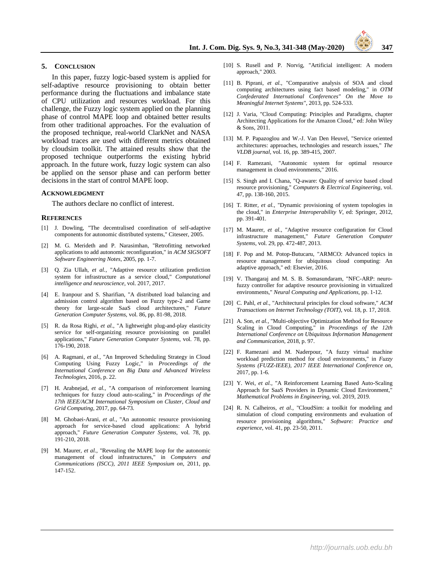#### **5. CONCLUSION**

In this paper, fuzzy logic-based system is applied for self-adaptive resource provisioning to obtain better performance during the fluctuations and imbalance state of CPU utilization and resources workload. For this challenge, the Fuzzy logic system applied on the planning phase of control MAPE loop and obtained better results from other traditional approaches. For the evaluation of the proposed technique, real-world ClarkNet and NASA workload traces are used with different metrics obtained by cloudsim toolkit. The attained results show that the proposed technique outperforms the existing hybrid approach. In the future work, fuzzy logic system can also be applied on the sensor phase and can perform better decisions in the start of control MAPE loop.

#### **ACKNOWLEDGMENT**

The authors declare no conflict of interest.

#### **REFERENCES**

- <span id="page-6-0"></span>[1] J. Dowling, "The decentralised coordination of self-adaptive components for autonomic distributed systems," Citeseer, 2005.
- <span id="page-6-1"></span>[2] M. G. Merideth and P. Narasimhan, "Retrofitting networked applications to add autonomic reconfiguration," in *ACM SIGSOFT Software Engineering Notes*, 2005, pp. 1-7.
- <span id="page-6-2"></span>[3] Q. Zia Ullah*, et al.*, "Adaptive resource utilization prediction system for infrastructure as a service cloud," *Computational intelligence and neuroscience,* vol. 2017, 2017.
- <span id="page-6-3"></span>[4] E. Iranpour and S. Sharifian, "A distributed load balancing and admission control algorithm based on Fuzzy type-2 and Game theory for large-scale SaaS cloud architectures," *Future Generation Computer Systems,* vol. 86, pp. 81-98, 2018.
- <span id="page-6-4"></span>[5] R. da Rosa Righi*, et al.*, "A lightweight plug-and-play elasticity service for self-organizing resource provisioning on parallel applications," *Future Generation Computer Systems,* vol. 78, pp. 176-190, 2018.
- <span id="page-6-5"></span>[6] A. Ragmani*, et al.*, "An Improved Scheduling Strategy in Cloud Computing Using Fuzzy Logic," in *Proceedings of the International Conference on Big Data and Advanced Wireless Technologies*, 2016, p. 22.
- <span id="page-6-6"></span>[7] H. Arabnejad*, et al.*, "A comparison of reinforcement learning techniques for fuzzy cloud auto-scaling," in *Proceedings of the 17th IEEE/ACM International Symposium on Cluster, Cloud and Grid Computing*, 2017, pp. 64-73.
- <span id="page-6-7"></span>[8] M. Ghobaei-Arani*, et al.*, "An autonomic resource provisioning approach for service-based cloud applications: A hybrid approach," *Future Generation Computer Systems,* vol. 78, pp. 191-210, 2018.
- <span id="page-6-8"></span>[9] M. Maurer*, et al.*, "Revealing the MAPE loop for the autonomic management of cloud infrastructures," in *Computers and Communications (ISCC), 2011 IEEE Symposium on*, 2011, pp. 147-152.
- <span id="page-6-9"></span>[10] S. Rusell and P. Norvig, "Artificial intelligent: A modern approach," 2003.
- <span id="page-6-10"></span>[11] B. Piprani*, et al.*, "Comparative analysis of SOA and cloud computing architectures using fact based modeling," in *OTM Confederated International Conferences" On the Move to Meaningful Internet Systems"*, 2013, pp. 524-533.
- <span id="page-6-11"></span>[12] J. Varia, "Cloud Computing: Principles and Paradigms, chapter Architecting Applications for the Amazon Cloud," ed: John Wiley & Sons, 2011.
- <span id="page-6-12"></span>[13] M. P. Papazoglou and W.-J. Van Den Heuvel, "Service oriented architectures: approaches, technologies and research issues," *The VLDB journal,* vol. 16, pp. 389-415, 2007.
- <span id="page-6-13"></span>[14] F. Ramezani, "Autonomic system for optimal resource management in cloud environments," 2016.
- <span id="page-6-14"></span>[15] S. Singh and I. Chana, "Q-aware: Quality of service based cloud resource provisioning," *Computers & Electrical Engineering,* vol. 47, pp. 138-160, 2015.
- <span id="page-6-15"></span>[16] T. Ritter*, et al.*, "Dynamic provisioning of system topologies in the cloud," in *Enterprise Interoperability V*, ed: Springer, 2012, pp. 391-401.
- <span id="page-6-16"></span>[17] M. Maurer*, et al.*, "Adaptive resource configuration for Cloud infrastructure management," *Future Generation Computer Systems,* vol. 29, pp. 472-487, 2013.
- <span id="page-6-17"></span>[18] F. Pop and M. Potop-Butucaru, "ARMCO: Advanced topics in resource management for ubiquitous cloud computing: An adaptive approach," ed: Elsevier, 2016.
- <span id="page-6-18"></span>[19] V. Thangaraj and M. S. B. Somasundaram, "NFC-ARP: neurofuzzy controller for adaptive resource provisioning in virtualized environments," *Neural Computing and Applications,* pp. 1-12.
- <span id="page-6-19"></span>[20] C. Pahl*, et al.*, "Architectural principles for cloud software," *ACM Transactions on Internet Technology (TOIT),* vol. 18, p. 17, 2018.
- <span id="page-6-20"></span>[21] A. Son*, et al.*, "Multi-objective Optimization Method for Resource Scaling in Cloud Computing," in *Proceedings of the 12th International Conference on Ubiquitous Information Management and Communication*, 2018, p. 97.
- <span id="page-6-21"></span>[22] F. Ramezani and M. Naderpour, "A fuzzy virtual machine workload prediction method for cloud environments," in *Fuzzy Systems (FUZZ-IEEE), 2017 IEEE International Conference on*, 2017, pp. 1-6.
- <span id="page-6-22"></span>[23] Y. Wei, et al., "A Reinforcement Learning Based Auto-Scaling Approach for SaaS Providers in Dynamic Cloud Environment," *Mathematical Problems in Engineering,* vol. 2019, 2019.
- <span id="page-6-23"></span>[24] R. N. Calheiros*, et al.*, "CloudSim: a toolkit for modeling and simulation of cloud computing environments and evaluation of resource provisioning algorithms," *Software: Practice and experience,* vol. 41, pp. 23-50, 2011.